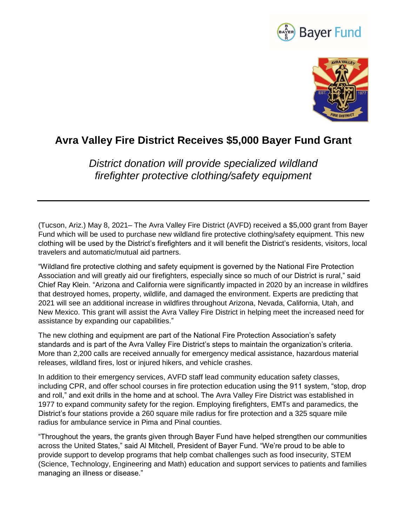



## **Avra Valley Fire District Receives \$5,000 Bayer Fund Grant**

*District donation will provide specialized wildland firefighter protective clothing/safety equipment* 

(Tucson, Ariz.) May 8, 2021– The Avra Valley Fire District (AVFD) received a \$5,000 grant from Bayer Fund which will be used to purchase new wildland fire protective clothing/safety equipment. This new clothing will be used by the District's firefighters and it will benefit the District's residents, visitors, local travelers and automatic/mutual aid partners.

"Wildland fire protective clothing and safety equipment is governed by the National Fire Protection Association and will greatly aid our firefighters, especially since so much of our District is rural," said Chief Ray Klein. "Arizona and California were significantly impacted in 2020 by an increase in wildfires that destroyed homes, property, wildlife, and damaged the environment. Experts are predicting that 2021 will see an additional increase in wildfires throughout Arizona, Nevada, California, Utah, and New Mexico. This grant will assist the Avra Valley Fire District in helping meet the increased need for assistance by expanding our capabilities."

The new clothing and equipment are part of the National Fire Protection Association's safety standards and is part of the Avra Valley Fire District's steps to maintain the organization's criteria. More than 2,200 calls are received annually for emergency medical assistance, hazardous material releases, wildland fires, lost or injured hikers, and vehicle crashes.

In addition to their emergency services, AVFD staff lead community education safety classes, including CPR, and offer school courses in fire protection education using the 911 system, "stop, drop and roll," and exit drills in the home and at school. The Avra Valley Fire District was established in 1977 to expand community safety for the region. Employing firefighters, EMTs and paramedics, the District's four stations provide a 260 square mile radius for fire protection and a 325 square mile radius for ambulance service in Pima and Pinal counties.

"Throughout the years, the grants given through Bayer Fund have helped strengthen our communities across the United States," said Al Mitchell, President of Bayer Fund. "We're proud to be able to provide support to develop programs that help combat challenges such as food insecurity, STEM (Science, Technology, Engineering and Math) education and support services to patients and families managing an illness or disease."